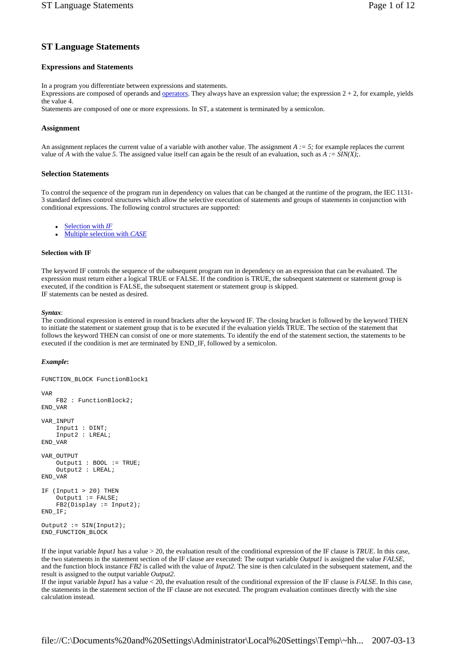# **ST Language Statements**

# **Expressions and Statements**

In a program you differentiate between expressions and statements.

Expressions are composed of operands and <u>operators</u>. They always have an expression value; the expression  $2 + 2$ , for example, yields the value 4.

Statements are composed of one or more expressions. In ST, a statement is terminated by a semicolon.

### **Assignment**

An assignment replaces the current value of a variable with another value. The assignment  $A := 5$ ; for example replaces the current value of *A* with the value 5. The assigned value itself can again be the result of an evaluation, such as  $A := \frac{SIN(X)}{SIN(X)}$ .

### **Selection Statements**

To control the sequence of the program run in dependency on values that can be changed at the runtime of the program, the IEC 1131- 3 standard defines control structures which allow the selective execution of statements and groups of statements in conjunction with conditional expressions. The following control structures are supported:

Selection with *IF* 

**Multiple selection with CASE** 

### **Selection with IF**

The keyword IF controls the sequence of the subsequent program run in dependency on an expression that can be evaluated. The expression must return either a logical TRUE or FALSE. If the condition is TRUE, the subsequent statement or statement group is executed, if the condition is FALSE, the subsequent statement or statement group is skipped. IF statements can be nested as desired.

*Syntax*:

The conditional expression is entered in round brackets after the keyword IF. The closing bracket is followed by the keyword THEN to initiate the statement or statement group that is to be executed if the evaluation yields TRUE. The section of the statement that follows the keyword THEN can consist of one or more statements. To identify the end of the statement section, the statements to be executed if the condition is met are terminated by END\_IF, followed by a semicolon.

#### *Example***:**

```
FUNCTION_BLOCK FunctionBlock1 
VAR 
     FB2 : FunctionBlock2; 
END_VAR 
VAR_INPUT 
     Input1 : DINT; 
     Input2 : LREAL; 
END_VAR 
VAR_OUTPUT 
     Output1 : BOOL := TRUE; 
     Output2 : LREAL; 
END_VAR 
IF (Input1 > 20) THEN 
    Output := FALSE;
     FB2(Display := Input2); 
END_IF; 
Output2 := SIN(Input2);
END_FUNCTION_BLOCK
```
If the input variable *Input1* has a value > 20, the evaluation result of the conditional expression of the IF clause is *TRUE*. In this case, the two statements in the statement section of the IF clause are executed: The output variable *Output1* is assigned the value *FALSE*, and the function block instance *FB2* is called with the value of *Input2*. The sine is then calculated in the subsequent statement, and the result is assigned to the output variable *Output2*.

If the input variable *Input1* has a value < 20, the evaluation result of the conditional expression of the IF clause is *FALSE*. In this case, the statements in the statement section of the IF clause are not executed. The program evaluation continues directly with the sine calculation instead.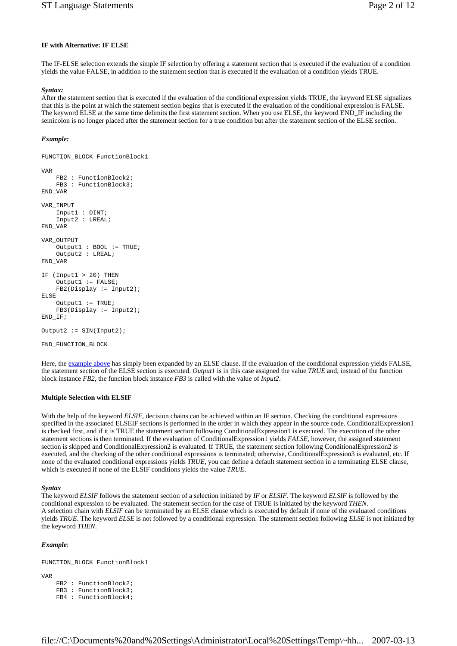# **IF with Alternative: IF ELSE**

The IF-ELSE selection extends the simple IF selection by offering a statement section that is executed if the evaluation of a condition yields the value FALSE, in addition to the statement section that is executed if the evaluation of a condition yields TRUE.

#### *Syntax:*

After the statement section that is executed if the evaluation of the conditional expression yields TRUE, the keyword ELSE signalizes that this is the point at which the statement section begins that is executed if the evaluation of the conditional expression is FALSE. The keyword ELSE at the same time delimits the first statement section. When you use ELSE, the keyword END\_IF including the semicolon is no longer placed after the statement section for a true condition but after the statement section of the ELSE section.

#### *Example:*

FUNCTION\_BLOCK FunctionBlock1

```
VAR 
     FB2 : FunctionBlock2; 
     FB3 : FunctionBlock3; 
END_VAR 
VAR_INPUT 
     Input1 : DINT; 
     Input2 : LREAL; 
END_VAR 
VAR_OUTPUT 
     Output1 : BOOL := TRUE; 
     Output2 : LREAL; 
END_VAR 
IF (Input1 > 20) THEN 
    Output := FALSE;
     FB2(Display := Input2); 
ELSE 
     Output1 := TRUE; 
    FB3(Display := Input2);END_IF;
Output2 := SIN(Input2);
```
END\_FUNCTION\_BLOCK

Here, the example above has simply been expanded by an ELSE clause. If the evaluation of the conditional expression yields FALSE, the statement section of the ELSE section is executed. *Output1* is in this case assigned the value *TRUE* and, instead of the function block instance *FB2*, the function block instance *FB3* is called with the value of *Input2*.

### **Multiple Selection with ELSIF**

With the help of the keyword *ELSIF*, decision chains can be achieved within an IF section. Checking the conditional expressions specified in the associated ELSEIF sections is performed in the order in which they appear in the source code. ConditionalExpression1 is checked first, and if it is TRUE the statement section following ConditionalExpression1 is executed. The execution of the other statement sections is then terminated. If the evaluation of ConditionalExpression1 yields *FALSE*, however, the assigned statement section is skipped and ConditionalExpression2 is evaluated. If TRUE, the statement section following ConditionalExpression2 is executed, and the checking of the other conditional expressions is terminated; otherwise, ConditionalExpression3 is evaluated, etc. If none of the evaluated conditional expressions yields *TRUE*, you can define a default statement section in a terminating ELSE clause, which is executed if none of the ELSIF conditions yields the value *TRUE*.

#### *Syntax*

The keyword *ELSIF* follows the statement section of a selection initiated by *IF* or *ELSIF*. The keyword *ELSIF* is followed by the conditional expression to be evaluated. The statement section for the case of TRUE is initiated by the keyword *THEN*. A selection chain with *ELSIF* can be terminated by an ELSE clause which is executed by default if none of the evaluated conditions yields *TRUE*. The keyword *ELSE* is not followed by a conditional expression. The statement section following *ELSE* is not initiated by the keyword *THEN*.

#### *Example*:

FUNCTION\_BLOCK FunctionBlock1

VAR

- FB2 : FunctionBlock2; FB3 : FunctionBlock3;
- FB4 : FunctionBlock4;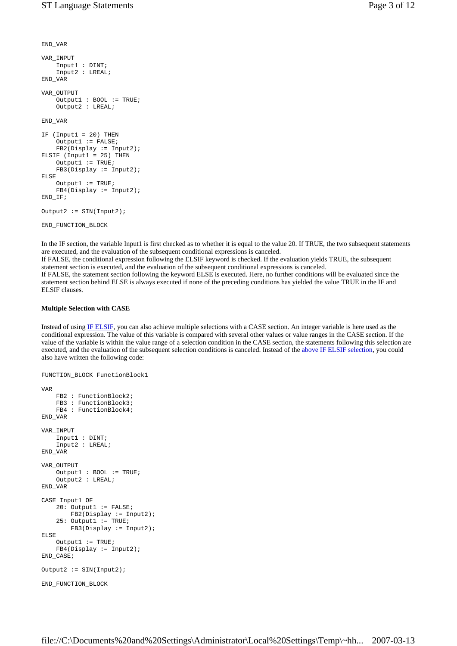```
END_VAR 
VAR_INPUT 
     Input1 : DINT; 
     Input2 : LREAL; 
END_VAR 
VAR_OUTPUT 
     Output1 : BOOL := TRUE; 
     Output2 : LREAL; 
END_VAR 
IF (Input1 = 20) THEN 
    Output1 := FALSE; FB2(Display := Input2); 
ELSIF (Input1 = 25) THEN
   Output1 := TRUE; FB3(Display := Input2); 
ELSE 
    Output := TRUE;
     FB4(Display := Input2); 
END_IF;
```
Output2  $:=$  SIN(Input2);

```
END_FUNCTION_BLOCK
```
In the IF section, the variable Input1 is first checked as to whether it is equal to the value 20. If TRUE, the two subsequent statements are executed, and the evaluation of the subsequent conditional expressions is canceled. If FALSE, the conditional expression following the ELSIF keyword is checked. If the evaluation yields TRUE, the subsequent statement section is executed, and the evaluation of the subsequent conditional expressions is canceled. If FALSE, the statement section following the keyword ELSE is executed. Here, no further conditions will be evaluated since the statement section behind ELSE is always executed if none of the preceding conditions has yielded the value TRUE in the IF and ELSIF clauses.

### **Multiple Selection with CASE**

Instead of using IF ELSIF, you can also achieve multiple selections with a CASE section. An integer variable is here used as the conditional expression. The value of this variable is compared with several other values or value ranges in the CASE section. If the value of the variable is within the value range of a selection condition in the CASE section, the statements following this selection are executed, and the evaluation of the subsequent selection conditions is canceled. Instead of the above IF ELSIF selection, you could also have written the following code:

```
FUNCTION_BLOCK FunctionBlock1 
VAR 
     FB2 : FunctionBlock2; 
    FB3 : FunctionBlock3;
     FB4 : FunctionBlock4; 
END_VAR 
VAR_INPUT 
    _<br>Input1 : DINT;
     Input2 : LREAL; 
END_VAR 
VAR_OUTPUT 
     Output1 : BOOL := TRUE; 
     Output2 : LREAL; 
END_VAR 
CASE Input1 OF 
    20: Output1 := FALSE;
         FB2(Display := Input2); 
    25: Output1 := TRUE;
         FB3(Display := Input2); 
ELSE 
    Output1 := \text{TRUE};
     FB4(Display := Input2); 
END_CASE;
Output2 := SIN(Input2);
END_FUNCTION_BLOCK
```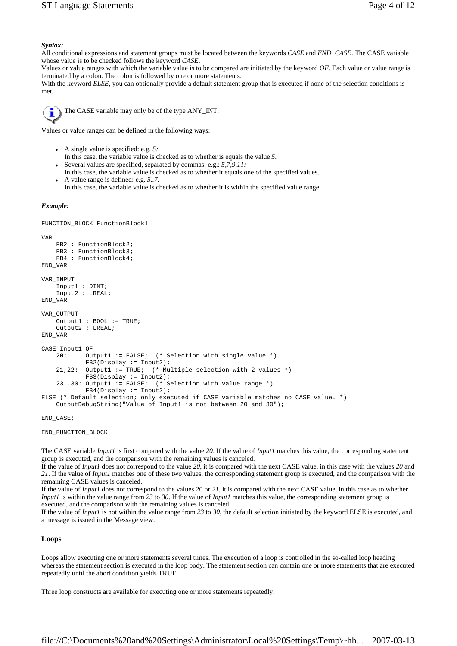### *Syntax:*

All conditional expressions and statement groups must be located between the keywords *CASE* and *END\_CASE*. The CASE variable whose value is to be checked follows the keyword *CASE*.

Values or value ranges with which the variable value is to be compared are initiated by the keyword *OF*. Each value or value range is terminated by a colon. The colon is followed by one or more statements.

With the keyword *ELSE*, you can optionally provide a default statement group that is executed if none of the selection conditions is met.



The CASE variable may only be of the type ANY\_INT.

Values or value ranges can be defined in the following ways:

- A single value is specified: e.g. 5:
- In this case, the variable value is checked as to whether is equals the value *5*.
- Several values are specified, separated by commas: e.g.: 5,7,9,11:
- In this case, the variable value is checked as to whether it equals one of the specified values. A value range is defined: e.g. 5..7:
- In this case, the variable value is checked as to whether it is within the specified value range.

### *Example:*

FUNCTION\_BLOCK FunctionBlock1

```
VAR 
    FB2 : FunctionBlock2; 
     FB3 : FunctionBlock3; 
     FB4 : FunctionBlock4; 
END_VAR 
VAR_INPUT 
     Input1 : DINT; 
     Input2 : LREAL; 
END_VAR 
VAR_OUTPUT 
    Output1 : B00L := TRUE; Output2 : LREAL; 
END_VAR 
CASE Input1 OF 
     20: Output1 := FALSE; (* Selection with single value *) 
            FB2(Display := Input2); 21,22: Output1 := TRUE; (* Multiple selection with 2 values *) 
             FB3(Display := Input2); 
    23..30: Output1 := FALSE; (* Selection with value range *)
             FB4(Display := Input2); 
ELSE (* Default selection; only executed if CASE variable matches no CASE value. *) 
     OutputDebugString("Value of Input1 is not between 20 and 30");
```
END\_CASE;

END\_FUNCTION\_BLOCK

The CASE variable *Input1* is first compared with the value *20*. If the value of *Input1* matches this value, the corresponding statement group is executed, and the comparison with the remaining values is canceled.

If the value of *Input1* does not correspond to the value *20*, it is compared with the next CASE value, in this case with the values *20* and *21*. If the value of *Input1* matches one of these two values, the corresponding statement group is executed, and the comparison with the remaining CASE values is canceled.

If the value of *Input1* does not correspond to the values 20 or *21*, it is compared with the next CASE value, in this case as to whether *Input1* is within the value range from *23* to *30*. If the value of *Input1* matches this value, the corresponding statement group is executed, and the comparison with the remaining values is canceled.

If the value of *Input1* is not within the value range from *23* to *30*, the default selection initiated by the keyword ELSE is executed, and a message is issued in the Message view.

### **Loops**

Loops allow executing one or more statements several times. The execution of a loop is controlled in the so-called loop heading whereas the statement section is executed in the loop body. The statement section can contain one or more statements that are executed repeatedly until the abort condition yields TRUE.

Three loop constructs are available for executing one or more statements repeatedly: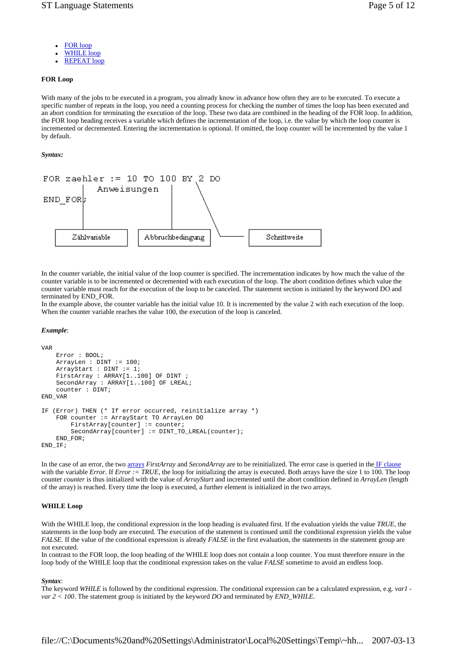- FOR loop
- **WHILE** loop
- **REPEAT loop**

### **FOR Loop**

With many of the jobs to be executed in a program, you already know in advance how often they are to be executed. To execute a specific number of repeats in the loop, you need a counting process for checking the number of times the loop has been executed and an abort condition for terminating the execution of the loop. These two data are combined in the heading of the FOR loop. In addition, the FOR loop heading receives a variable which defines the incrementation of the loop, i.e. the value by which the loop counter is incremented or decremented. Entering the incrementation is optional. If omitted, the loop counter will be incremented by the value 1 by default.

### *Syntax:*



In the counter variable, the initial value of the loop counter is specified. The incrementation indicates by how much the value of the counter variable is to be incremented or decremented with each execution of the loop. The abort condition defines which value the counter variable must reach for the execution of the loop to be canceled. The statement section is initiated by the keyword DO and terminated by END\_FOR.

In the example above, the counter variable has the initial value 10. It is incremented by the value 2 with each execution of the loop. When the counter variable reaches the value 100, the execution of the loop is canceled.

### *Example*:

```
VAR 
     Error : BOOL; 
     ArrayLen : DINT := 100; 
     ArrayStart : DINT := 1; 
    FirstArray : ARRAY[1..100] OF DINT ;
     SecondArray : ARRAY[1..100] OF LREAL; 
     counter : DINT; 
END_VAR 
IF (Error) THEN (* If error occurred, reinitialize array *) 
     FOR counter := ArrayStart TO ArrayLen DO 
        FirstArray[counter] := counter;
         SecondArray[counter] := DINT_TO_LREAL(counter); 
     END_FOR; 
\texttt{END\_IF} ;
```
In the case of an error, the two arrays *FirstArray* and *SecondArray* are to be reinitialized. The error case is queried in the IF clause with the variable *Error*. If *Error* : = TRUE, the loop for initializing the array is executed. Both arrays have the size 1 to 100. The loop counter *counter* is thus initialized with the value of *ArrayStart* and incremented until the abort condition defined in *ArrayLen* (length of the array) is reached. Every time the loop is executed, a further element is initialized in the two arrays.

#### **WHILE Loop**

With the WHILE loop, the conditional expression in the loop heading is evaluated first. If the evaluation yields the value *TRUE*, the statements in the loop body are executed. The execution of the statement is continued until the conditional expression yields the value *FALSE*. If the value of the conditional expression is already *FALSE* in the first evaluation, the statements in the statement group are not executed.

In contrast to the FOR loop, the loop heading of the WHILE loop does not contain a loop counter. You must therefore ensure in the loop body of the WHILE loop that the conditional expression takes on the value *FALSE* sometime to avoid an endless loop.

#### *Syntax*:

The keyword *WHILE* is followed by the conditional expression. The conditional expression can be a calculated expression, e.g. *var1 var 2 < 100*. The statement group is initiated by the keyword *DO* and terminated by *END\_WHILE*.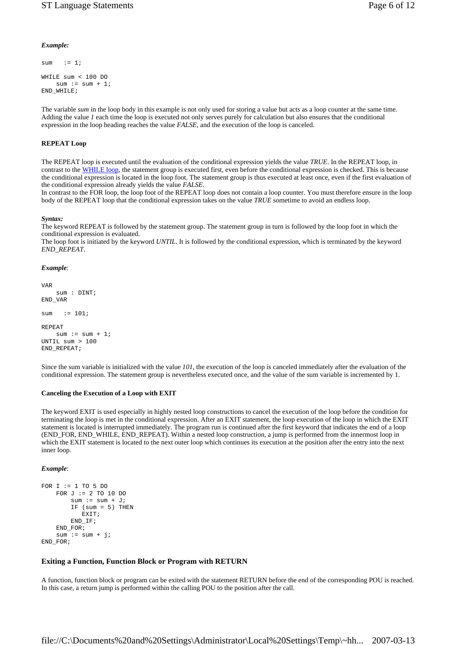## *Example:*

```
sum := 1;
WHILE sum < 100 DO 
   sum := sum + 1;
END_WHILE;
```
The variable *sum* in the loop body in this example is not only used for storing a value but acts as a loop counter at the same time. Adding the value *1* each time the loop is executed not only serves purely for calculation but also ensures that the conditional expression in the loop heading reaches the value *FALSE*, and the execution of the loop is canceled.

### **REPEAT Loop**

The REPEAT loop is executed until the evaluation of the conditional expression yields the value *TRUE*. In the REPEAT loop, in contrast to the WHILE loop, the statement group is executed first, even before the conditional expression is checked. This is because the conditional expression is located in the loop foot. The statement group is thus executed at least once, even if the first evaluation of the conditional expression already yields the value *FALSE*.

In contrast to the FOR loop, the loop foot of the REPEAT loop does not contain a loop counter. You must therefore ensure in the loop body of the REPEAT loop that the conditional expression takes on the value *TRUE* sometime to avoid an endless loop.

#### *Syntax:*

The keyword REPEAT is followed by the statement group. The statement group in turn is followed by the loop foot in which the conditional expression is evaluated.

The loop foot is initiated by the keyword *UNTIL*. It is followed by the conditional expression, which is terminated by the keyword *END\_REPEAT*.

#### *Example*:

```
VAR 
     sum : DINT; 
END_VAR 
sum := 101;
REPEAT 
   sum := sum + 1;
UNTIL sum > 100 
END_REPEAT;
```
Since the sum variable is initialized with the value *101*, the execution of the loop is canceled immediately after the evaluation of the conditional expression. The statement group is nevertheless executed once, and the value of the sum variable is incremented by 1.

#### **Canceling the Execution of a Loop with EXIT**

The keyword EXIT is used especially in highly nested loop constructions to cancel the execution of the loop before the condition for terminating the loop is met in the conditional expression. After an EXIT statement, the loop execution of the loop in which the EXIT statement is located is interrupted immediately. The program run is continued after the first keyword that indicates the end of a loop (END\_FOR, END\_WHILE, END\_REPEAT). Within a nested loop construction, a jump is performed from the innermost loop in which the EXIT statement is located to the next outer loop which continues its execution at the position after the entry into the next inner loop.

#### *Example*:

```
FOR I := 1 TO 5 DO
    FOR J := 2 TO 10 DO
        sum := sum + J;
        IF (sum = 5) THEN
            EXIT; 
         END_IF; 
    END FOR;
    \sin m := \sin m + i;
END_FOR;
```
#### **Exiting a Function, Function Block or Program with RETURN**

A function, function block or program can be exited with the statement RETURN before the end of the corresponding POU is reached. In this case, a return jump is performed within the calling POU to the position after the call.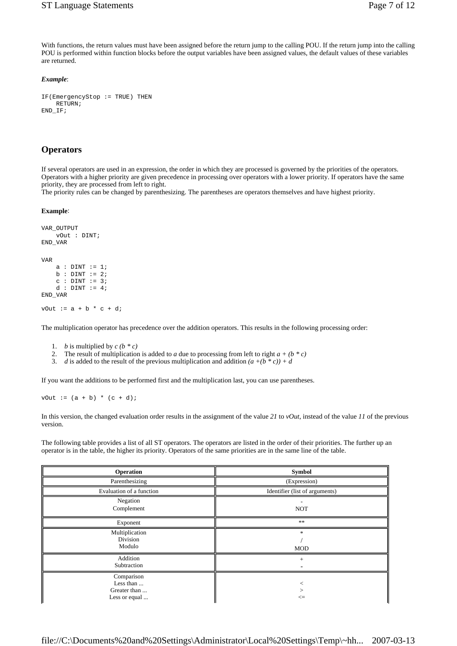With functions, the return values must have been assigned before the return jump to the calling POU. If the return jump into the calling POU is performed within function blocks before the output variables have been assigned values, the default values of these variables are returned.

### *Example*:

```
IF(EmergencyStop := TRUE) THEN 
     RETURN; 
END_IF;
```
# **Operators**

If several operators are used in an expression, the order in which they are processed is governed by the priorities of the operators. Operators with a higher priority are given precedence in processing over operators with a lower priority. If operators have the same priority, they are processed from left to right.

The priority rules can be changed by parenthesizing. The parentheses are operators themselves and have highest priority.

#### **Example**:

```
VAR_OUTPUT 
    vOut : DINT; 
END_VAR 
VAR 
   a : DINT := 1;b : DINT := 2;c : DINT := 3;d : DINT := 4;END_VAR 
vOut := a + b * c + d;
```
The multiplication operator has precedence over the addition operators. This results in the following processing order:

- 1. *b* is multiplied by  $c (b * c)$
- 2. The result of multiplication is added to *a* due to processing from left to right  $a + (b * c)$
- 3. *d* is added to the result of the previous multiplication and addition  $(a+(b * c)) + d$

If you want the additions to be performed first and the multiplication last, you can use parentheses.

vOut :=  $(a + b) * (c + d)$ ;

In this version, the changed evaluation order results in the assignment of the value *21* to *vOut*, instead of the value *11* of the previous version.

The following table provides a list of all ST operators. The operators are listed in the order of their priorities. The further up an operator is in the table, the higher its priority. Operators of the same priorities are in the same line of the table.

| <b>Operation</b>                                         | Symbol                         |
|----------------------------------------------------------|--------------------------------|
| Parenthesizing                                           | (Expression)                   |
| Evaluation of a function                                 | Identifier (list of arguments) |
| Negation<br>Complement                                   | <b>NOT</b>                     |
| Exponent                                                 | $\ast$ $\ast$                  |
| Multiplication<br>Division<br>Modulo                     | *<br><b>MOD</b>                |
| Addition<br>Subtraction                                  | $^{+}$                         |
| Comparison<br>Less than<br>Greater than<br>Less or equal | $\leq$                         |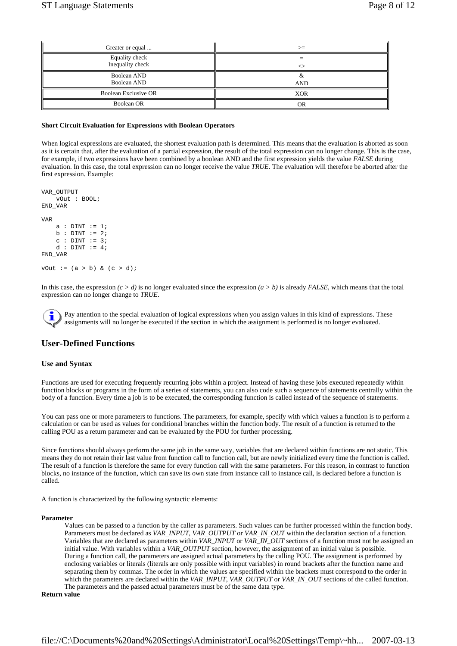ī.

 $\overline{a}$ 

| Greater or equal                   | $>=$       |
|------------------------------------|------------|
| Equality check<br>Inequality check |            |
| Boolean AND<br>Boolean AND         | <b>AND</b> |
| Boolean Exclusive OR               | <b>XOR</b> |
| Boolean OR                         | ΩR         |

### **Short Circuit Evaluation for Expressions with Boolean Operators**

When logical expressions are evaluated, the shortest evaluation path is determined. This means that the evaluation is aborted as soon as it is certain that, after the evaluation of a partial expression, the result of the total expression can no longer change. This is the case, for example, if two expressions have been combined by a boolean AND and the first expression yields the value *FALSE* during evaluation. In this case, the total expression can no longer receive the value *TRUE*. The evaluation will therefore be aborted after the first expression. Example:

```
VAR_OUTPUT 
     vOut : BOOL; 
END_VAR 
VAR 
    a : DINT := 1;b : DINT := 2:
    c : DINT := 3;d : DINT := 4;
END_VAR 
vOut := (a > b) & (c > d);
```
In this case, the expression  $(c > d)$  is no longer evaluated since the expression  $(a > b)$  is already *FALSE*, which means that the total expression can no longer change to *TRUE*.

Pay attention to the special evaluation of logical expressions when you assign values in this kind of expressions. These assignments will no longer be executed if the section in which the assignment is performed is no longer evaluated.

# **User-Defined Functions**

#### **Use and Syntax**

Functions are used for executing frequently recurring jobs within a project. Instead of having these jobs executed repeatedly within function blocks or programs in the form of a series of statements, you can also code such a sequence of statements centrally within the body of a function. Every time a job is to be executed, the corresponding function is called instead of the sequence of statements.

You can pass one or more parameters to functions. The parameters, for example, specify with which values a function is to perform a calculation or can be used as values for conditional branches within the function body. The result of a function is returned to the calling POU as a return parameter and can be evaluated by the POU for further processing.

Since functions should always perform the same job in the same way, variables that are declared within functions are not static. This means they do not retain their last value from function call to function call, but are newly initialized every time the function is called. The result of a function is therefore the same for every function call with the same parameters. For this reason, in contrast to function blocks, no instance of the function, which can save its own state from instance call to instance call, is declared before a function is called.

A function is characterized by the following syntactic elements:

#### **Parameter**

Values can be passed to a function by the caller as parameters. Such values can be further processed within the function body. Parameters must be declared as *VAR\_INPUT, VAR\_OUTPUT* or *VAR\_IN\_OUT* within the declaration section of a function. Variables that are declared as parameters within *VAR\_INPUT* or *VAR\_IN\_OUT* sections of a function must not be assigned an initial value. With variables within a *VAR\_OUTPUT* section, however, the assignment of an initial value is possible. During a function call, the parameters are assigned actual parameters by the calling POU. The assignment is performed by enclosing variables or literals (literals are only possible with input variables) in round brackets after the function name and separating them by commas. The order in which the values are specified within the brackets must correspond to the order in which the parameters are declared within the *VAR\_INPUT*, *VAR\_OUTPUT* or *VAR\_IN\_OUT* sections of the called function. The parameters and the passed actual parameters must be of the same data type.

#### **Return value**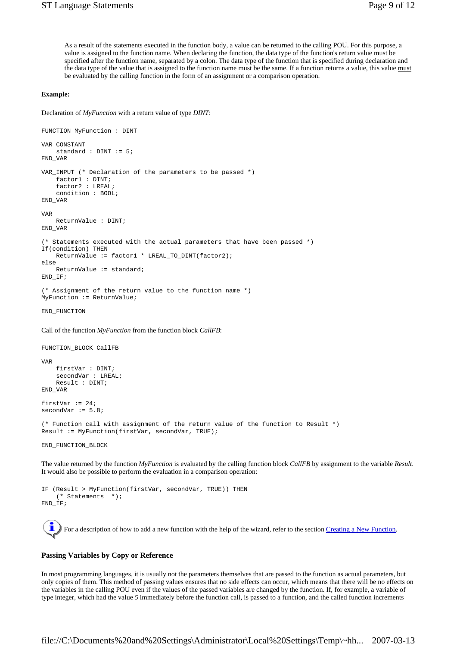As a result of the statements executed in the function body, a value can be returned to the calling POU. For this purpose, a value is assigned to the function name. When declaring the function, the data type of the function's return value must be specified after the function name, separated by a colon. The data type of the function that is specified during declaration and the data type of the value that is assigned to the function name must be the same. If a function returns a value, this value must be evaluated by the calling function in the form of an assignment or a comparison operation.

#### **Example:**

Declaration of *MyFunction* with a return value of type *DINT*:

```
FUNCTION MyFunction : DINT 
VAR CONSTANT 
     standard : DINT := 5; 
END_VAR 
VAR_INPUT (* Declaration of the parameters to be passed *) 
     factor1 : DINT; 
     factor2 : LREAL; 
     condition : BOOL; 
END_VAR 
VAR 
     ReturnValue : DINT; 
END_VAR 
(* Statements executed with the actual parameters that have been passed *) 
If(condition) THEN 
     ReturnValue := factor1 * LREAL_TO_DINT(factor2); 
else 
    ReturnValue := standard; 
END_IF; 
(* Assignment of the return value to the function name *) 
MyFunction := ReturnValue; 
END_FUNCTION 
Call of the function MyFunction from the function block CallFB:
```

```
FUNCTION_BLOCK CallFB
```

```
VAR 
     firstVar : DINT; 
     secondVar : LREAL; 
     Result : DINT; 
END_VAR 
firstVar := 24;
```
(\* Function call with assignment of the return value of the function to Result \*) Result := MyFunction(firstVar, secondVar, TRUE);

END\_FUNCTION\_BLOCK

secondVar  $:= 5.8$ ;

The value returned by the function *MyFunction* is evaluated by the calling function block *CallFB* by assignment to the variable *Result*. It would also be possible to perform the evaluation in a comparison operation:

```
IF (Result > MyFunction(firstVar, secondVar, TRUE)) THEN 
     (* Statements *); 
END_IF;
```
For a description of how to add a new function with the help of the wizard, refer to the section Creating a New Function.

#### **Passing Variables by Copy or Reference**

In most programming languages, it is usually not the parameters themselves that are passed to the function as actual parameters, but only copies of them. This method of passing values ensures that no side effects can occur, which means that there will be no effects on the variables in the calling POU even if the values of the passed variables are changed by the function. If, for example, a variable of type integer, which had the value *5* immediately before the function call, is passed to a function, and the called function increments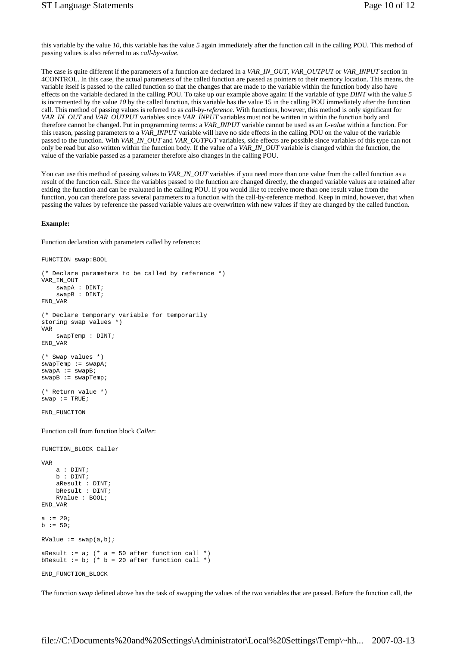this variable by the value *10*, this variable has the value *5* again immediately after the function call in the calling POU. This method of passing values is also referred to as *call-by-value*.

The case is quite different if the parameters of a function are declared in a *VAR\_IN\_OUT*, *VAR\_OUTPUT* or *VAR\_INPUT* section in 4CONTROL. In this case, the actual parameters of the called function are passed as pointers to their memory location. This means, the variable itself is passed to the called function so that the changes that are made to the variable within the function body also have effects on the variable declared in the calling POU. To take up our example above again: If the variable of type *DINT* with the value *5* is incremented by the value *10* by the called function, this variable has the value 15 in the calling POU immediately after the function call. This method of passing values is referred to as *call-by-reference*. With functions, however, this method is only significant for *VAR\_IN\_OUT* and *VAR\_OUTPUT* variables since *VAR\_INPUT* variables must not be written in within the function body and therefore cannot be changed. Put in programming terms: a *VAR\_INPUT* variable cannot be used as an *L-value* within a function. For this reason, passing parameters to a *VAR\_INPUT* variable will have no side effects in the calling POU on the value of the variable passed to the function. With *VAR\_IN\_OUT* and *VAR\_OUTPUT* variables, side effects are possible since variables of this type can not only be read but also written within the function body. If the value of a *VAR\_IN\_OUT* variable is changed within the function, the value of the variable passed as a parameter therefore also changes in the calling POU.

You can use this method of passing values to *VAR\_IN\_OUT* variables if you need more than one value from the called function as a result of the function call. Since the variables passed to the function are changed directly, the changed variable values are retained after exiting the function and can be evaluated in the calling POU. If you would like to receive more than one result value from the function, you can therefore pass several parameters to a function with the call-by-reference method. Keep in mind, however, that when passing the values by reference the passed variable values are overwritten with new values if they are changed by the called function.

#### **Example:**

Function declaration with parameters called by reference:

FUNCTION swap:BOOL

```
(* Declare parameters to be called by reference *) 
VAR_IN_OUT 
     swapA : DINT; 
     swapB : DINT; 
END_VAR 
(* Declare temporary variable for temporarily 
storing swap values *) 
VAR 
    swapTemp : DINT; 
END_VAR 
(* Swap values *) 
swapTemp := swapA; 
swa = swaB;
swapB := swapTemp; 
(* Return value *) 
swap := TRUE;END_FUNCTION 
Function call from function block Caller: 
FUNCTION_BLOCK Caller 
VAR 
    a : DINT; 
    h : DINT: aResult : DINT; 
     bResult : DINT; 
     RValue : BOOL; 
END_VAR 
a := 20;b := 50;
RValue := swap(a,b);
aResult := a; (* a = 50 after function call *)
bResult := b; (* b = 20 after function call *)
```
END\_FUNCTION\_BLOCK

The function *swap* defined above has the task of swapping the values of the two variables that are passed. Before the function call, the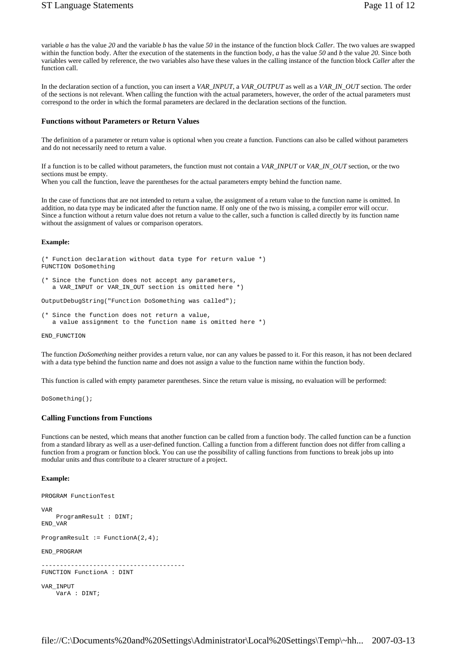variable *a* has the value *20* and the variable *b* has the value *50* in the instance of the function block *Caller*. The two values are swapped within the function body. After the execution of the statements in the function body, *a* has the value *50* and *b* the value *20*. Since both variables were called by reference, the two variables also have these values in the calling instance of the function block *Caller* after the function call.

In the declaration section of a function, you can insert a *VAR\_INPUT*, a *VAR\_OUTPUT* as well as a *VAR\_IN\_OUT* section. The order of the sections is not relevant. When calling the function with the actual parameters, however, the order of the actual parameters must correspond to the order in which the formal parameters are declared in the declaration sections of the function.

### **Functions without Parameters or Return Values**

The definition of a parameter or return value is optional when you create a function. Functions can also be called without parameters and do not necessarily need to return a value.

If a function is to be called without parameters, the function must not contain a *VAR\_INPUT* or *VAR\_IN\_OUT* section, or the two sections must be empty.

When you call the function, leave the parentheses for the actual parameters empty behind the function name.

In the case of functions that are not intended to return a value, the assignment of a return value to the function name is omitted. In addition, no data type may be indicated after the function name. If only one of the two is missing, a compiler error will occur. Since a function without a return value does not return a value to the caller, such a function is called directly by its function name without the assignment of values or comparison operators.

#### **Example:**

```
(* Function declaration without data type for return value *) 
FUNCTION DoSomething
```

```
(* Since the function does not accept any parameters, 
   a VAR_INPUT or VAR_IN_OUT section is omitted here *)
```
OutputDebugString("Function DoSomething was called");

```
(* Since the function does not return a value, 
   a value assignment to the function name is omitted here *)
```
END\_FUNCTION

The function *DoSomething* neither provides a return value, nor can any values be passed to it. For this reason, it has not been declared with a data type behind the function name and does not assign a value to the function name within the function body.

This function is called with empty parameter parentheses. Since the return value is missing, no evaluation will be performed:

DoSomething();

### **Calling Functions from Functions**

Functions can be nested, which means that another function can be called from a function body. The called function can be a function from a standard library as well as a user-defined function. Calling a function from a different function does not differ from calling a function from a program or function block. You can use the possibility of calling functions from functions to break jobs up into modular units and thus contribute to a clearer structure of a project.

#### **Example:**

```
PROGRAM FunctionTest 
VAR 
    ProgramResult : DINT; 
END_VAR 
ProgramResult := FunctionA(2, 4);
END_PROGRAM 
--------------------------------------- 
FUNCTION FunctionA : DINT
```

```
 VarA : DINT;
```
VAR\_INPUT

file://C:\Documents%20and%20Settings\Administrator\Local%20Settings\Temp\~hh... 2007-03-13